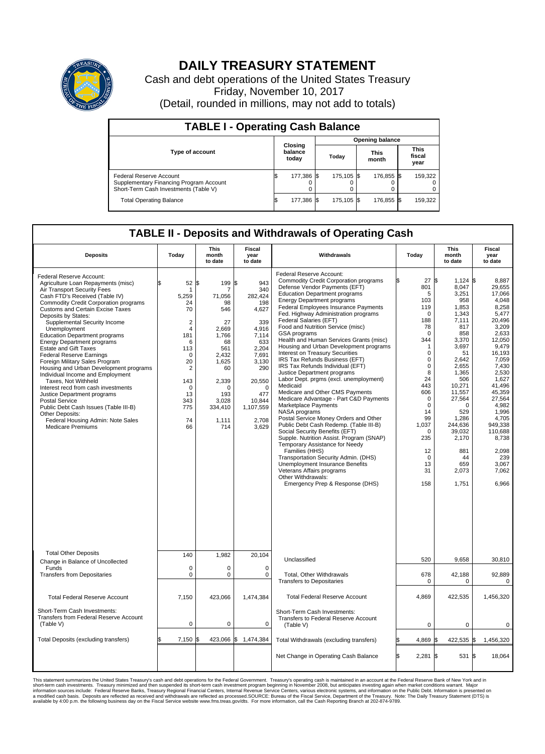

## **DAILY TREASURY STATEMENT**

Cash and debt operations of the United States Treasury Friday, November 10, 2017 (Detail, rounded in millions, may not add to totals)

| <b>TABLE I - Operating Cash Balance</b>                                                                     |    |                             |                        |            |  |                      |  |                               |  |
|-------------------------------------------------------------------------------------------------------------|----|-----------------------------|------------------------|------------|--|----------------------|--|-------------------------------|--|
|                                                                                                             |    |                             | <b>Opening balance</b> |            |  |                      |  |                               |  |
| <b>Type of account</b>                                                                                      |    | Closing<br>balance<br>today |                        | Today      |  | <b>This</b><br>month |  | <b>This</b><br>fiscal<br>year |  |
| Federal Reserve Account<br>Supplementary Financing Program Account<br>Short-Term Cash Investments (Table V) |    | 177,386 \$                  |                        | 175.105 \$ |  | 176,855 \$           |  | 159,322                       |  |
| <b>Total Operating Balance</b>                                                                              | IЭ | 177,386 \$                  |                        | 175,105 \$ |  | 176,855 \$           |  | 159,322                       |  |

## **TABLE II - Deposits and Withdrawals of Operating Cash**

| <b>Deposits</b>                                                                                                                                                                                                                                                                                                                                                                                                                                                                                                                                                                                                                                                                                                                                                                                               | Today                                                                                                                                                         | <b>This</b><br>month<br>to date                                                                                                                                    | <b>Fiscal</b><br>year<br>to date                                                                                                                                                    | Withdrawals                                                                                                                                                                                                                                                                                                                                                                                                                                                                                                                                                                                                                                                                                                                                                                                                                                                                                                                                                                                                                                                                                                                                                        | Today                                                                                                                                                                                                                                                                | This<br>month<br>to date                                                                                                                                                                                                                                                   | Fiscal<br>year<br>to date                                                                                                                                                                                                                                                            |
|---------------------------------------------------------------------------------------------------------------------------------------------------------------------------------------------------------------------------------------------------------------------------------------------------------------------------------------------------------------------------------------------------------------------------------------------------------------------------------------------------------------------------------------------------------------------------------------------------------------------------------------------------------------------------------------------------------------------------------------------------------------------------------------------------------------|---------------------------------------------------------------------------------------------------------------------------------------------------------------|--------------------------------------------------------------------------------------------------------------------------------------------------------------------|-------------------------------------------------------------------------------------------------------------------------------------------------------------------------------------|--------------------------------------------------------------------------------------------------------------------------------------------------------------------------------------------------------------------------------------------------------------------------------------------------------------------------------------------------------------------------------------------------------------------------------------------------------------------------------------------------------------------------------------------------------------------------------------------------------------------------------------------------------------------------------------------------------------------------------------------------------------------------------------------------------------------------------------------------------------------------------------------------------------------------------------------------------------------------------------------------------------------------------------------------------------------------------------------------------------------------------------------------------------------|----------------------------------------------------------------------------------------------------------------------------------------------------------------------------------------------------------------------------------------------------------------------|----------------------------------------------------------------------------------------------------------------------------------------------------------------------------------------------------------------------------------------------------------------------------|--------------------------------------------------------------------------------------------------------------------------------------------------------------------------------------------------------------------------------------------------------------------------------------|
| Federal Reserve Account:<br>Agriculture Loan Repayments (misc)<br>Air Transport Security Fees<br>Cash FTD's Received (Table IV)<br><b>Commodity Credit Corporation programs</b><br><b>Customs and Certain Excise Taxes</b><br>Deposits by States:<br>Supplemental Security Income<br>Unemployment<br><b>Education Department programs</b><br><b>Energy Department programs</b><br>Estate and Gift Taxes<br><b>Federal Reserve Earnings</b><br>Foreign Military Sales Program<br>Housing and Urban Development programs<br>Individual Income and Employment<br>Taxes. Not Withheld<br>Interest recd from cash investments<br>Justice Department programs<br><b>Postal Service</b><br>Public Debt Cash Issues (Table III-B)<br>Other Deposits:<br>Federal Housing Admin: Note Sales<br><b>Medicare Premiums</b> | 52<br>\$<br>-1<br>5,259<br>24<br>70<br>$\overline{2}$<br>$\overline{4}$<br>181<br>6<br>113<br>$\Omega$<br>20<br>2<br>143<br>0<br>13<br>343<br>775<br>74<br>66 | S.<br>199<br>7<br>71,056<br>98<br>546<br>27<br>2.669<br>1,766<br>68<br>561<br>2.432<br>1,625<br>60<br>2,339<br>$\Omega$<br>193<br>3.028<br>334,410<br>1,111<br>714 | S.<br>943<br>340<br>282.424<br>198<br>4,627<br>339<br>4.916<br>7,114<br>633<br>2,204<br>7.691<br>3,130<br>290<br>20,550<br>$\Omega$<br>477<br>10.844<br>1,107,559<br>2,708<br>3,629 | Federal Reserve Account:<br><b>Commodity Credit Corporation programs</b><br>Defense Vendor Payments (EFT)<br><b>Education Department programs</b><br><b>Energy Department programs</b><br><b>Federal Employees Insurance Payments</b><br>Fed. Highway Administration programs<br>Federal Salaries (EFT)<br>Food and Nutrition Service (misc)<br><b>GSA</b> programs<br>Health and Human Services Grants (misc)<br>Housing and Urban Development programs<br>Interest on Treasury Securities<br>IRS Tax Refunds Business (EFT)<br>IRS Tax Refunds Individual (EFT)<br>Justice Department programs<br>Labor Dept. prgms (excl. unemployment)<br>Medicaid<br>Medicare and Other CMS Payments<br>Medicare Advantage - Part C&D Payments<br>Marketplace Payments<br>NASA programs<br>Postal Service Money Orders and Other<br>Public Debt Cash Redemp. (Table III-B)<br>Social Security Benefits (EFT)<br>Supple. Nutrition Assist. Program (SNAP)<br>Temporary Assistance for Needy<br>Families (HHS)<br>Transportation Security Admin. (DHS)<br>Unemployment Insurance Benefits<br>Veterans Affairs programs<br>Other Withdrawals:<br>Emergency Prep & Response (DHS) | 27<br>801<br>5<br>103<br>119<br>$\Omega$<br>188<br>78<br>$\mathbf 0$<br>344<br>1<br>$\mathbf 0$<br>$\mathbf 0$<br>$\mathbf 0$<br>8<br>24<br>443<br>606<br>$\mathbf 0$<br>$\mathbf 0$<br>14<br>99<br>1,037<br>$\Omega$<br>235<br>12<br>$\mathbf 0$<br>13<br>31<br>158 | \$<br>$1,124$ \$<br>8.047<br>3,251<br>958<br>1,853<br>1,343<br>7.111<br>817<br>858<br>3,370<br>3.697<br>51<br>2.642<br>2,655<br>1,365<br>506<br>10,271<br>11,557<br>27,564<br>$\Omega$<br>529<br>1,286<br>244,636<br>39,032<br>2,170<br>881<br>44<br>659<br>2,073<br>1,751 | 8,887<br>29,655<br>17.066<br>4,048<br>8,258<br>5,477<br>20.496<br>3,209<br>2,633<br>12,050<br>9.479<br>16,193<br>7,059<br>7,430<br>2,530<br>1,627<br>41,496<br>45.359<br>27,564<br>4,982<br>1.996<br>4.705<br>949,338<br>110,688<br>8,738<br>2,098<br>239<br>3.067<br>7.062<br>6,966 |
| <b>Total Other Deposits</b><br>Change in Balance of Uncollected                                                                                                                                                                                                                                                                                                                                                                                                                                                                                                                                                                                                                                                                                                                                               | 140                                                                                                                                                           | 1,982                                                                                                                                                              | 20,104                                                                                                                                                                              | Unclassified                                                                                                                                                                                                                                                                                                                                                                                                                                                                                                                                                                                                                                                                                                                                                                                                                                                                                                                                                                                                                                                                                                                                                       | 520                                                                                                                                                                                                                                                                  | 9,658                                                                                                                                                                                                                                                                      | 30,810                                                                                                                                                                                                                                                                               |
| Funds<br><b>Transfers from Depositaries</b>                                                                                                                                                                                                                                                                                                                                                                                                                                                                                                                                                                                                                                                                                                                                                                   | $\mathbf 0$<br>$\mathbf 0$                                                                                                                                    | $\Omega$<br>$\Omega$                                                                                                                                               | $\mathbf 0$<br>$\Omega$                                                                                                                                                             | Total, Other Withdrawals<br><b>Transfers to Depositaries</b>                                                                                                                                                                                                                                                                                                                                                                                                                                                                                                                                                                                                                                                                                                                                                                                                                                                                                                                                                                                                                                                                                                       | 678<br>$\mathbf 0$                                                                                                                                                                                                                                                   | 42,188<br>0                                                                                                                                                                                                                                                                | 92,889<br>0                                                                                                                                                                                                                                                                          |
| <b>Total Federal Reserve Account</b>                                                                                                                                                                                                                                                                                                                                                                                                                                                                                                                                                                                                                                                                                                                                                                          | 7,150                                                                                                                                                         | 423,066                                                                                                                                                            | 1,474,384                                                                                                                                                                           | <b>Total Federal Reserve Account</b>                                                                                                                                                                                                                                                                                                                                                                                                                                                                                                                                                                                                                                                                                                                                                                                                                                                                                                                                                                                                                                                                                                                               | 4,869                                                                                                                                                                                                                                                                | 422,535                                                                                                                                                                                                                                                                    | 1,456,320                                                                                                                                                                                                                                                                            |
| Short-Term Cash Investments:<br>Transfers from Federal Reserve Account<br>(Table V)                                                                                                                                                                                                                                                                                                                                                                                                                                                                                                                                                                                                                                                                                                                           | $\pmb{0}$                                                                                                                                                     | 0                                                                                                                                                                  | $\mathbf 0$                                                                                                                                                                         | Short-Term Cash Investments:<br>Transfers to Federal Reserve Account<br>(Table V)                                                                                                                                                                                                                                                                                                                                                                                                                                                                                                                                                                                                                                                                                                                                                                                                                                                                                                                                                                                                                                                                                  | $\mathbf 0$                                                                                                                                                                                                                                                          | 0                                                                                                                                                                                                                                                                          | $\mathbf 0$                                                                                                                                                                                                                                                                          |
| Total Deposits (excluding transfers)                                                                                                                                                                                                                                                                                                                                                                                                                                                                                                                                                                                                                                                                                                                                                                          | 7,150                                                                                                                                                         | 423,066                                                                                                                                                            | \$<br>1,474,384                                                                                                                                                                     | Total Withdrawals (excluding transfers)                                                                                                                                                                                                                                                                                                                                                                                                                                                                                                                                                                                                                                                                                                                                                                                                                                                                                                                                                                                                                                                                                                                            | 4,869<br>\$                                                                                                                                                                                                                                                          | 422,535 \$<br>l\$                                                                                                                                                                                                                                                          | 1,456,320                                                                                                                                                                                                                                                                            |
|                                                                                                                                                                                                                                                                                                                                                                                                                                                                                                                                                                                                                                                                                                                                                                                                               |                                                                                                                                                               |                                                                                                                                                                    |                                                                                                                                                                                     | Net Change in Operating Cash Balance                                                                                                                                                                                                                                                                                                                                                                                                                                                                                                                                                                                                                                                                                                                                                                                                                                                                                                                                                                                                                                                                                                                               | Ŝ.<br>$2,281$ \$                                                                                                                                                                                                                                                     | 531                                                                                                                                                                                                                                                                        | l\$<br>18,064                                                                                                                                                                                                                                                                        |

This statement summarizes the United States Treasury's cash and debt operations for the Federal Government. Treasury operations was the Federal Reserve Bank of New York and in<br>short-term cash my assumptions were also that